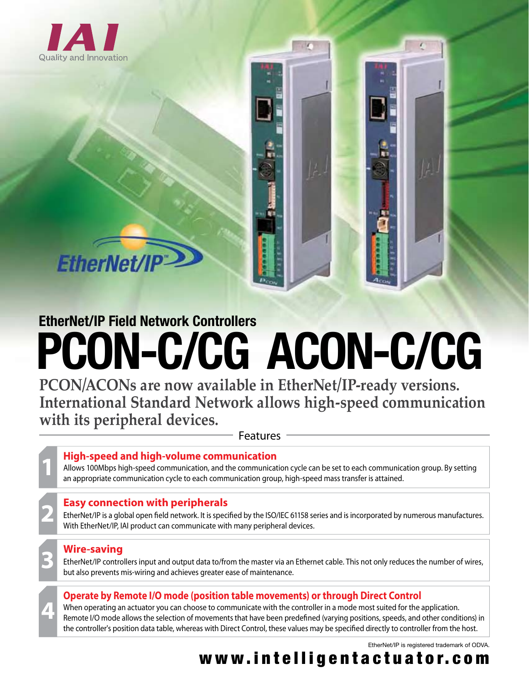

**EtherNet/IF** 

# **PCON-C/CG ACON-C/CG EtherNet/IP Field Network Controllers**

**PCON/ACONs are now available in EtherNet/IP-ready versions. International Standard Network allows high-speed communication with its peripheral devices.**

Features

## **1 High-speed and high-volume communication**

Allows 100Mbps high-speed communication, and the communication cycle can be set to each communication group. By setting an appropriate communication cycle to each communication group, high-speed mass transfer is attained.

## **2 Easy connection with peripherals**

EtherNet/IP is a global open field network. It is specified by the ISO/IEC 61158 series and is incorporated by numerous manufactures. With EtherNet/IP, IAI product can communicate with many peripheral devices.

## **3 Wire-saving**

**4**

EtherNet/IP controllers input and output data to/from the master via an Ethernet cable. This not only reduces the number of wires, but also prevents mis-wiring and achieves greater ease of maintenance.

## **Operate by Remote I/O mode (position table movements) or through Direct Control**

When operating an actuator you can choose to communicate with the controller in a mode most suited for the application. Remote I/O mode allows the selection of movements that have been predefined (varying positions, speeds, and other conditions) in the controller's position data table, whereas with Direct Control, these values may be specified directly to controller from the host.

EtherNet/IP is registered trademark of ODVA.

# www.intelligentactuator.com